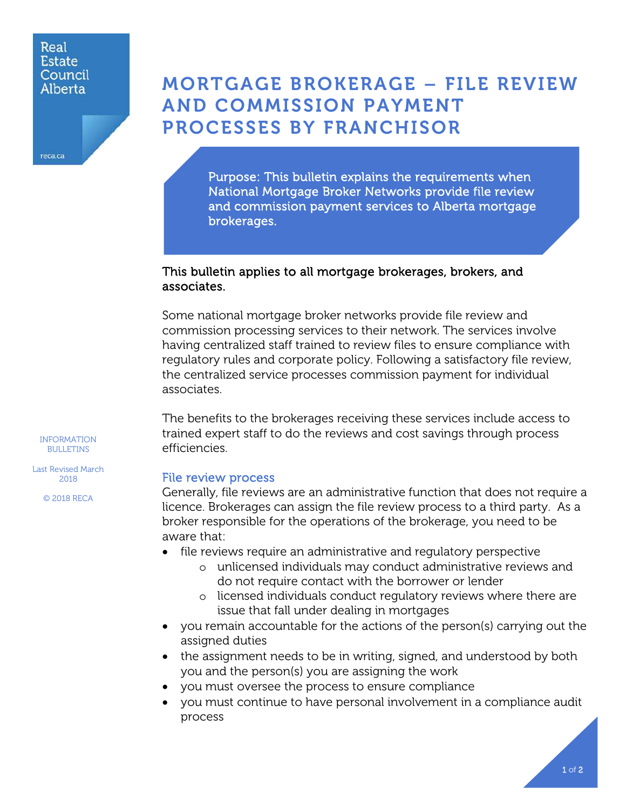#### Real **Estate** Council Alberta

reca.ca

# MORTGAGE BROKERAGE – FILE REVIEW AND COMMISSION PAYMENT PROCESSES BY FRANCHISOR

Purpose: This bulletin explains the requirements when National Mortgage Broker Networks provide file review and commission payment services to Alberta mortgage brokerages.

## This bulletin applies to all mortgage brokerages, brokers, and associates.

Some national mortgage broker networks provide file review and commission processing services to their network. The services involve having centralized staff trained to review files to ensure compliance with regulatory rules and corporate policy. Following a satisfactory file review, the centralized service processes commission payment for individual associates.

The benefits to the brokerages receiving these services include access to trained expert staff to do the reviews and cost savings through process efficiencies.

## File review process

Generally, file reviews are an administrative function that does not require a licence. Brokerages can assign the file review process to a third party. As a broker responsible for the operations of the brokerage, you need to be aware that:

- file reviews require an administrative and regulatory perspective
	- o unlicensed individuals may conduct administrative reviews and do not require contact with the borrower or lender
	- o licensed individuals conduct regulatory reviews where there are issue that fall under dealing in mortgages
- you remain accountable for the actions of the person(s) carrying out the assigned duties
- the assignment needs to be in writing, signed, and understood by both you and the person(s) you are assigning the work
- you must oversee the process to ensure compliance
- you must continue to have personal involvement in a compliance audit process

INFORMATION BULLETINS

Last Revised March 2018

© 2018 RECA